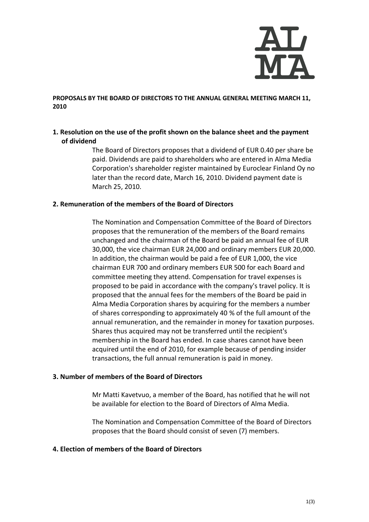

### **PROPOSALS BY THE BOARD OF DIRECTORS TO THE ANNUAL GENERAL MEETING MARCH 11, 2010**

## **1. Resolution on the use of the profit shown on the balance sheet and the payment of dividend**

The Board of Directors proposes that a dividend of EUR 0.40 per share be paid. Dividends are paid to shareholders who are entered in Alma Media Corporation's shareholder register maintained by Euroclear Finland Oy no later than the record date, March 16, 2010. Dividend payment date is March 25, 2010.

### **2. Remuneration of the members of the Board of Directors**

The Nomination and Compensation Committee of the Board of Directors proposes that the remuneration of the members of the Board remains unchanged and the chairman of the Board be paid an annual fee of EUR 30,000, the vice chairman EUR 24,000 and ordinary members EUR 20,000. In addition, the chairman would be paid a fee of EUR 1,000, the vice chairman EUR 700 and ordinary members EUR 500 for each Board and committee meeting they attend. Compensation for travel expenses is proposed to be paid in accordance with the company's travel policy. It is proposed that the annual fees for the members of the Board be paid in Alma Media Corporation shares by acquiring for the members a number of shares corresponding to approximately 40 % of the full amount of the annual remuneration, and the remainder in money for taxation purposes. Shares thus acquired may not be transferred until the recipient's membership in the Board has ended. In case shares cannot have been acquired until the end of 2010, for example because of pending insider transactions, the full annual remuneration is paid in money.

#### **3. Number of members of the Board of Directors**

Mr Matti Kavetvuo, a member of the Board, has notified that he will not be available for election to the Board of Directors of Alma Media.

The Nomination and Compensation Committee of the Board of Directors proposes that the Board should consist of seven (7) members.

### **4. Election of members of the Board of Directors**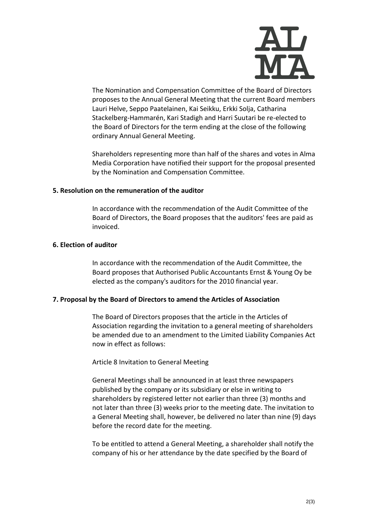

The Nomination and Compensation Committee of the Board of Directors proposes to the Annual General Meeting that the current Board members Lauri Helve, Seppo Paatelainen, Kai Seikku, Erkki Solja, Catharina Stackelberg-Hammarén, Kari Stadigh and Harri Suutari be re-elected to the Board of Directors for the term ending at the close of the following ordinary Annual General Meeting.

Shareholders representing more than half of the shares and votes in Alma Media Corporation have notified their support for the proposal presented by the Nomination and Compensation Committee.

#### **5. Resolution on the remuneration of the auditor**

In accordance with the recommendation of the Audit Committee of the Board of Directors, the Board proposes that the auditors' fees are paid as invoiced.

## **6. Election of auditor**

In accordance with the recommendation of the Audit Committee, the Board proposes that Authorised Public Accountants Ernst & Young Oy be elected as the company's auditors for the 2010 financial year.

### **7. Proposal by the Board of Directors to amend the Articles of Association**

The Board of Directors proposes that the article in the Articles of Association regarding the invitation to a general meeting of shareholders be amended due to an amendment to the Limited Liability Companies Act now in effect as follows:

Article 8 Invitation to General Meeting

General Meetings shall be announced in at least three newspapers published by the company or its subsidiary or else in writing to shareholders by registered letter not earlier than three (3) months and not later than three (3) weeks prior to the meeting date. The invitation to a General Meeting shall, however, be delivered no later than nine (9) days before the record date for the meeting.

To be entitled to attend a General Meeting, a shareholder shall notify the company of his or her attendance by the date specified by the Board of